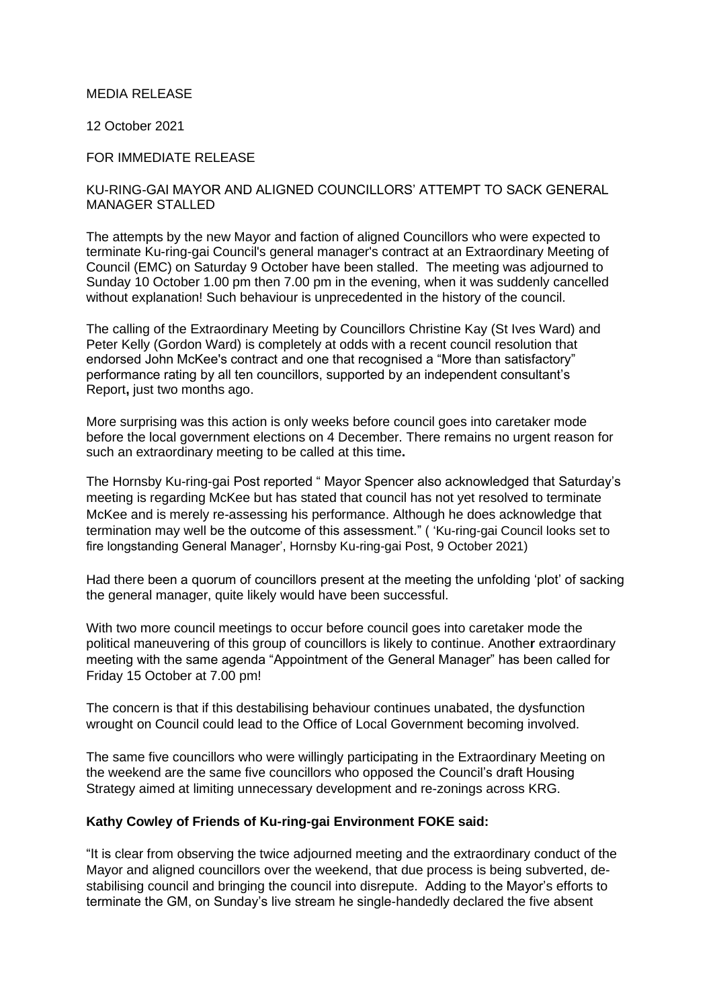### MEDIA RELEASE

12 October 2021

## FOR IMMEDIATE RELEASE

# KU-RING-GAI MAYOR AND ALIGNED COUNCILLORS' ATTEMPT TO SACK GENERAL MANAGER STALLED

The attempts by the new Mayor and faction of aligned Councillors who were expected to terminate Ku-ring-gai Council's general manager's contract at an Extraordinary Meeting of Council (EMC) on Saturday 9 October have been stalled. The meeting was adjourned to Sunday 10 October 1.00 pm then 7.00 pm in the evening, when it was suddenly cancelled without explanation! Such behaviour is unprecedented in the history of the council.

The calling of the Extraordinary Meeting by Councillors Christine Kay (St Ives Ward) and Peter Kelly (Gordon Ward) is completely at odds with a recent council resolution that endorsed John McKee's contract and one that recognised a "More than satisfactory" performance rating by all ten councillors, supported by an independent consultant's Report**,** just two months ago.

More surprising was this action is only weeks before council goes into caretaker mode before the local government elections on 4 December. There remains no urgent reason for such an extraordinary meeting to be called at this time**.**

The Hornsby Ku-ring-gai Post reported " Mayor Spencer also acknowledged that Saturday's meeting is regarding McKee but has stated that council has not yet resolved to terminate McKee and is merely re-assessing his performance. Although he does acknowledge that termination may well be the outcome of this assessment." ( 'Ku-ring-gai Council looks set to fire longstanding General Manager', Hornsby Ku-ring-gai Post, 9 October 2021)

Had there been a quorum of councillors present at the meeting the unfolding 'plot' of sacking the general manager, quite likely would have been successful.

With two more council meetings to occur before council goes into caretaker mode the political maneuvering of this group of councillors is likely to continue. Anothe**r** extraordinary meeting with the same agenda "Appointment of the General Manager" has been called for Friday 15 October at 7.00 pm!

The concern is that if this destabilising behaviour continues unabated, the dysfunction wrought on Council could lead to the Office of Local Government becoming involved.

The same five councillors who were willingly participating in the Extraordinary Meeting on the weekend are the same five councillors who opposed the Council's draft Housing Strategy aimed at limiting unnecessary development and re-zonings across KRG.

## **Kathy Cowley of Friends of Ku-ring-gai Environment FOKE said:**

"It is clear from observing the twice adjourned meeting and the extraordinary conduct of the Mayor and aligned councillors over the weekend, that due process is being subverted, destabilising council and bringing the council into disrepute. Adding to the Mayor's efforts to terminate the GM, on Sunday's live stream he single-handedly declared the five absent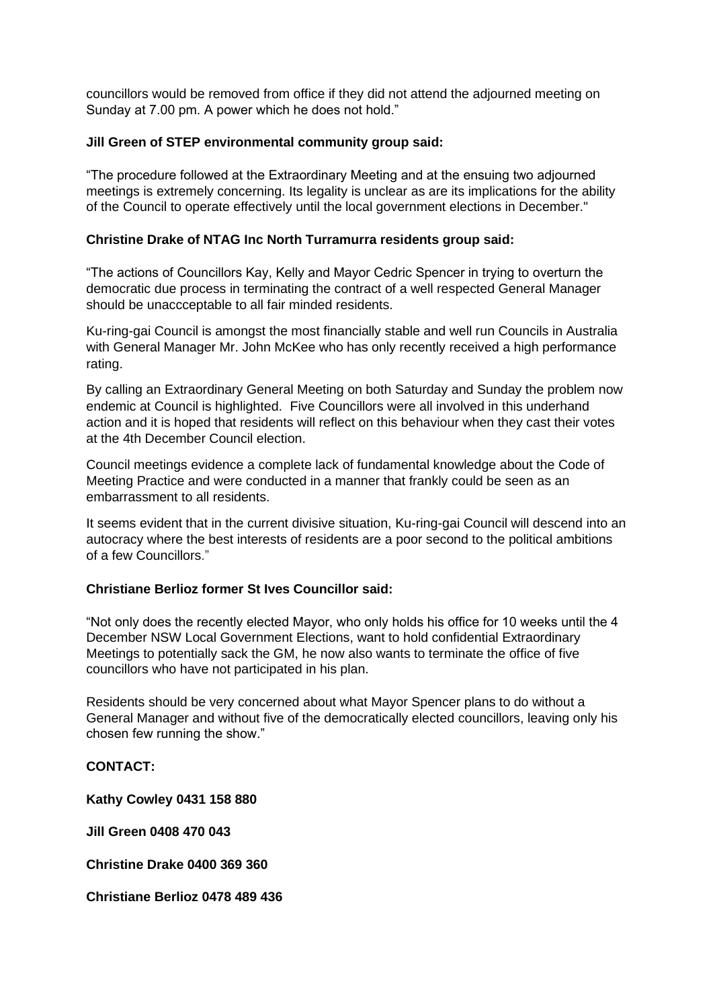councillors would be removed from office if they did not attend the adjourned meeting on Sunday at 7.00 pm. A power which he does not hold."

# **Jill Green of STEP environmental community group said:**

"The procedure followed at the Extraordinary Meeting and at the ensuing two adjourned meetings is extremely concerning. Its legality is unclear as are its implications for the ability of the Council to operate effectively until the local government elections in December."

# **Christine Drake of NTAG Inc North Turramurra residents group said:**

"The actions of Councillors Kay, Kelly and Mayor Cedric Spencer in trying to overturn the democratic due process in terminating the contract of a well respected General Manager should be unaccceptable to all fair minded residents.

Ku-ring-gai Council is amongst the most financially stable and well run Councils in Australia with General Manager Mr. John McKee who has only recently received a high performance rating.

By calling an Extraordinary General Meeting on both Saturday and Sunday the problem now endemic at Council is highlighted. Five Councillors were all involved in this underhand action and it is hoped that residents will reflect on this behaviour when they cast their votes at the 4th December Council election.

Council meetings evidence a complete lack of fundamental knowledge about the Code of Meeting Practice and were conducted in a manner that frankly could be seen as an embarrassment to all residents.

It seems evident that in the current divisive situation, Ku-ring-gai Council will descend into an autocracy where the best interests of residents are a poor second to the political ambitions of a few Councillors."

### **Christiane Berlioz former St Ives Councillor said:**

"Not only does the recently elected Mayor, who only holds his office for 10 weeks until the 4 December NSW Local Government Elections, want to hold confidential Extraordinary Meetings to potentially sack the GM, he now also wants to terminate the office of five councillors who have not participated in his plan.

Residents should be very concerned about what Mayor Spencer plans to do without a General Manager and without five of the democratically elected councillors, leaving only his chosen few running the show."

### **CONTACT:**

**Kathy Cowley 0431 158 880**

**Jill Green 0408 470 043**

**Christine Drake 0400 369 360**

**Christiane Berlioz 0478 489 436**